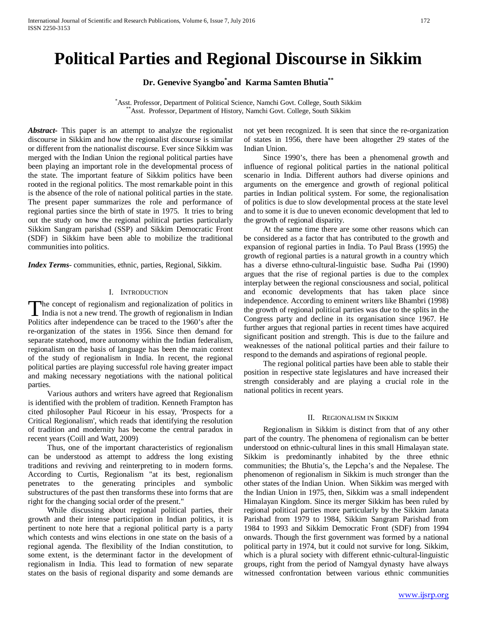# **Political Parties and Regional Discourse in Sikkim**

**Dr. Genevive Syangbo\* and Karma Samten Bhutia\*\***

\*Asst. Professor, Department of Political Science, Namchi Govt. College, South Sikkim Asst. Professor, Department of History, Namchi Govt. College, South Sikkim

*Abstract***-** This paper is an attempt to analyze the regionalist discourse in Sikkim and how the regionalist discourse is similar or different from the nationalist discourse. Ever since Sikkim was merged with the Indian Union the regional political parties have been playing an important role in the developmental process of the state. The important feature of Sikkim politics have been rooted in the regional politics. The most remarkable point in this is the absence of the role of national political parties in the state. The present paper summarizes the role and performance of regional parties since the birth of state in 1975. It tries to bring out the study on how the regional political parties particularly Sikkim Sangram parishad (SSP) and Sikkim Democratic Front (SDF) in Sikkim have been able to mobilize the traditional communities into politics.

*Index Terms*- communities, ethnic, parties, Regional, Sikkim.

## I. INTRODUCTION

he concept of regionalism and regionalization of politics in The concept of regionalism and regionalization of politics in<br>India is not a new trend. The growth of regionalism in Indian Politics after independence can be traced to the 1960's after the re-organization of the states in 1956. Since then demand for separate statehood, more autonomy within the Indian federalism, regionalism on the basis of language has been the main context of the study of regionalism in India. In recent, the regional political parties are playing successful role having greater impact and making necessary negotiations with the national political parties.

 Various authors and writers have agreed that Regionalism is identified with the problem of tradition. Kenneth Frampton has cited philosopher Paul Ricoeur in his essay, 'Prospects for a Critical Regionalism', which reads that identifying the resolution of tradition and modernity has become the central paradox in recent years (Coill and Watt, 2009)

 Thus, one of the important characteristics of regionalism can be understood as attempt to address the long existing traditions and reviving and reinterpreting to in modern forms. According to Curtis, Regionalism "at its best, regionalism penetrates to the generating principles and symbolic substructures of the past then transforms these into forms that are right for the changing social order of the present."

 While discussing about regional political parties, their growth and their intense participation in Indian politics, it is pertinent to note here that a regional political party is a party which contests and wins elections in one state on the basis of a regional agenda. The flexibility of the Indian constitution, to some extent, is the determinant factor in the development of regionalism in India. This lead to formation of new separate states on the basis of regional disparity and some demands are not yet been recognized. It is seen that since the re-organization of states in 1956, there have been altogether 29 states of the Indian Union.

 Since 1990's, there has been a phenomenal growth and influence of regional political parties in the national political scenario in India. Different authors had diverse opinions and arguments on the emergence and growth of regional political parties in Indian political system. For some, the regionalisation of politics is due to slow developmental process at the state level and to some it is due to uneven economic development that led to the growth of regional disparity.

 At the same time there are some other reasons which can be considered as a factor that has contributed to the growth and expansion of regional parties in India. To Paul Brass (1995) the growth of regional parties is a natural growth in a country which has a diverse ethno-cultural-linguistic base. Sudha Pai (1990) argues that the rise of regional parties is due to the complex interplay between the regional consciousness and social, political and economic developments that has taken place since independence. According to eminent writers like Bhambri (1998) the growth of regional political parties was due to the splits in the Congress party and decline in its organisation since 1967. He further argues that regional parties in recent times have acquired significant position and strength. This is due to the failure and weaknesses of the national political parties and their failure to respond to the demands and aspirations of regional people.

 The regional political parties have been able to stable their position in respective state legislatures and have increased their strength considerably and are playing a crucial role in the national politics in recent years.

#### II. REGIONALISM IN SIKKIM

 Regionalism in Sikkim is distinct from that of any other part of the country. The phenomena of regionalism can be better understood on ethnic-cultural lines in this small Himalayan state. Sikkim is predominantly inhabited by the three ethnic communities; the Bhutia's, the Lepcha's and the Nepalese. The phenomenon of regionalism in Sikkim is much stronger than the other states of the Indian Union. When Sikkim was merged with the Indian Union in 1975, then, Sikkim was a small independent Himalayan Kingdom. Since its merger Sikkim has been ruled by regional political parties more particularly by the Sikkim Janata Parishad from 1979 to 1984, Sikkim Sangram Parishad from 1984 to 1993 and Sikkim Democratic Front (SDF) from 1994 onwards. Though the first government was formed by a national political party in 1974, but it could not survive for long. Sikkim, which is a plural society with different ethnic-cultural-linguistic groups, right from the period of Namgyal dynasty have always witnessed confrontation between various ethnic communities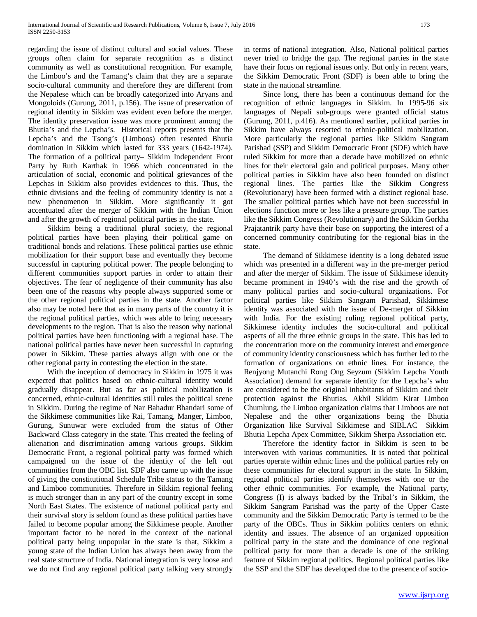regarding the issue of distinct cultural and social values. These groups often claim for separate recognition as a distinct community as well as constitutional recognition. For example, the Limboo's and the Tamang's claim that they are a separate socio-cultural community and therefore they are different from the Nepalese which can be broadly categorized into Aryans and Mongoloids (Gurung, 2011, p.156). The issue of preservation of regional identity in Sikkim was evident even before the merger. The identity preservation issue was more prominent among the Bhutia's and the Lepcha's. Historical reports presents that the Lepcha's and the Tsong's (Limboos) often resented Bhutia domination in Sikkim which lasted for 333 years (1642-1974). The formation of a political party– Sikkim Independent Front Party by Ruth Karthak in 1966 which concentrated in the articulation of social, economic and political grievances of the Lepchas in Sikkim also provides evidences to this. Thus, the ethnic divisions and the feeling of community identity is not a new phenomenon in Sikkim. More significantly it got accentuated after the merger of Sikkim with the Indian Union and after the growth of regional political parties in the state.

 Sikkim being a traditional plural society, the regional political parties have been playing their political game on traditional bonds and relations. These political parties use ethnic mobilization for their support base and eventually they become successful in capturing political power. The people belonging to different communities support parties in order to attain their objectives. The fear of negligence of their community has also been one of the reasons why people always supported some or the other regional political parties in the state. Another factor also may be noted here that as in many parts of the country it is the regional political parties, which was able to bring necessary developments to the region. That is also the reason why national political parties have been functioning with a regional base. The national political parties have never been successful in capturing power in Sikkim. These parties always align with one or the other regional party in contesting the election in the state.

 With the inception of democracy in Sikkim in 1975 it was expected that politics based on ethnic-cultural identity would gradually disappear. But as far as political mobilization is concerned, ethnic-cultural identities still rules the political scene in Sikkim. During the regime of Nar Bahadur Bhandari some of the Sikkimese communities like Rai, Tamang, Manger, Limboo, Gurung, Sunuwar were excluded from the status of Other Backward Class category in the state. This created the feeling of alienation and discrimination among various groups. Sikkim Democratic Front, a regional political party was formed which campaigned on the issue of the identity of the left out communities from the OBC list. SDF also came up with the issue of giving the constitutional Schedule Tribe status to the Tamang and Limboo communities. Therefore in Sikkim regional feeling is much stronger than in any part of the country except in some North East States. The existence of national political party and their survival story is seldom found as these political parties have failed to become popular among the Sikkimese people. Another important factor to be noted in the context of the national political party being unpopular in the state is that, Sikkim a young state of the Indian Union has always been away from the real state structure of India. National integration is very loose and we do not find any regional political party talking very strongly in terms of national integration. Also, National political parties never tried to bridge the gap. The regional parties in the state have their focus on regional issues only. But only in recent years, the Sikkim Democratic Front (SDF) is been able to bring the state in the national streamline.

 Since long, there has been a continuous demand for the recognition of ethnic languages in Sikkim. In 1995-96 six languages of Nepali sub-groups were granted official status (Gurung, 2011, p.416). As mentioned earlier, political parties in Sikkim have always resorted to ethnic-political mobilization. More particularly the regional parties like Sikkim Sangram Parishad (SSP) and Sikkim Democratic Front (SDF) which have ruled Sikkim for more than a decade have mobilized on ethnic lines for their electoral gain and political purposes. Many other political parties in Sikkim have also been founded on distinct regional lines. The parties like the Sikkim Congress (Revolutionary) have been formed with a distinct regional base. The smaller political parties which have not been successful in elections function more or less like a pressure group. The parties like the Sikkim Congress (Revolutionary) and the Sikkim Gorkha Prajatantrik party have their base on supporting the interest of a concerned community contributing for the regional bias in the state.

 The demand of Sikkimese identity is a long debated issue which was presented in a different way in the pre-merger period and after the merger of Sikkim. The issue of Sikkimese identity became prominent in 1940's with the rise and the growth of many political parties and socio-cultural organizations. For political parties like Sikkim Sangram Parishad, Sikkimese identity was associated with the issue of De-merger of Sikkim with India. For the existing ruling regional political party, Sikkimese identity includes the socio-cultural and political aspects of all the three ethnic groups in the state. This has led to the concentration more on the community interest and emergence of community identity consciousness which has further led to the formation of organizations on ethnic lines. For instance, the Renjyong Mutanchi Rong Ong Seyzum (Sikkim Lepcha Youth Association) demand for separate identity for the Lepcha's who are considered to be the original inhabitants of Sikkim and their protection against the Bhutias. Akhil Sikkim Kirat Limboo Chumlung, the Limboo organization claims that Limboos are not Nepalese and the other organizations being the Bhutia Organization like Survival Sikkimese and SIBLAC– Sikkim Bhutia Lepcha Apex Committee, Sikkim Sherpa Association etc.

 Therefore the identity factor in Sikkim is seen to be interwoven with various communities. It is noted that political parties operate within ethnic lines and the political parties rely on these communities for electoral support in the state. In Sikkim, regional political parties identify themselves with one or the other ethnic communities. For example, the National party, Congress (I) is always backed by the Tribal's in Sikkim, the Sikkim Sangram Parishad was the party of the Upper Caste community and the Sikkim Democratic Party is termed to be the party of the OBCs. Thus in Sikkim politics centers on ethnic identity and issues. The absence of an organized opposition political party in the state and the dominance of one regional political party for more than a decade is one of the striking feature of Sikkim regional politics. Regional political parties like the SSP and the SDF has developed due to the presence of socio